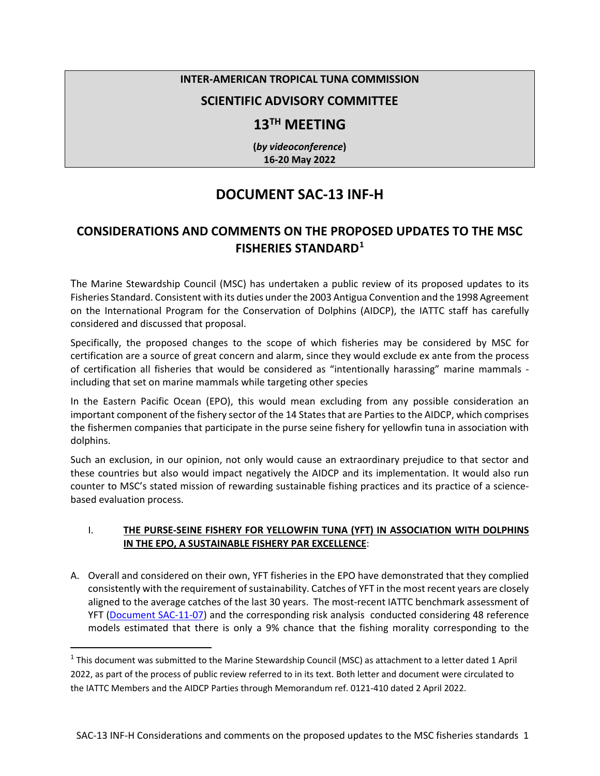### **INTER-AMERICAN TROPICAL TUNA COMMISSION**

### **SCIENTIFIC ADVISORY COMMITTEE**

### **13TH MEETING**

**(***by videoconference***) 16-20 May 2022** 

# **DOCUMENT SAC-13 INF-H**

## **CONSIDERATIONS AND COMMENTS ON THE PROPOSED UPDATES TO THE MSC FISHERIES STANDARD[1](#page-0-0)**

The Marine Stewardship Council (MSC) has undertaken a public review of its proposed updates to its Fisheries Standard. Consistent with its duties under the 2003 Antigua Convention and the 1998 Agreement on the International Program for the Conservation of Dolphins (AIDCP), the IATTC staff has carefully considered and discussed that proposal.

Specifically, the proposed changes to the scope of which fisheries may be considered by MSC for certification are a source of great concern and alarm, since they would exclude ex ante from the process of certification all fisheries that would be considered as "intentionally harassing" marine mammals including that set on marine mammals while targeting other species

In the Eastern Pacific Ocean (EPO), this would mean excluding from any possible consideration an important component of the fishery sector of the 14 States that are Parties to the AIDCP, which comprises the fishermen companies that participate in the purse seine fishery for yellowfin tuna in association with dolphins.

Such an exclusion, in our opinion, not only would cause an extraordinary prejudice to that sector and these countries but also would impact negatively the AIDCP and its implementation. It would also run counter to MSC's stated mission of rewarding sustainable fishing practices and its practice of a sciencebased evaluation process.

#### I. **THE PURSE-SEINE FISHERY FOR YELLOWFIN TUNA (YFT) IN ASSOCIATION WITH DOLPHINS IN THE EPO, A SUSTAINABLE FISHERY PAR EXCELLENCE**:

A. Overall and considered on their own, YFT fisheries in the EPO have demonstrated that they complied consistently with the requirement of sustainability. Catches of YFT in the most recent years are closely aligned to the average catches of the last 30 years. The most-recent IATTC benchmark assessment of YFT [\(Document SAC-11-07\)](https://www.iattc.org/Meetings/Meetings2020/SAC-11/Docs/_English/SAC-11-07-MTG_Yellowfin%20tuna%20benchmark%20assessment%202019.pdf) and the corresponding risk analysis conducted considering 48 reference models estimated that there is only a 9% chance that the fishing morality corresponding to the

<span id="page-0-0"></span> $1$  This document was submitted to the Marine Stewardship Council (MSC) as attachment to a letter dated 1 April 2022, as part of the process of public review referred to in its text. Both letter and document were circulated to the IATTC Members and the AIDCP Parties through Memorandum ref. 0121-410 dated 2 April 2022.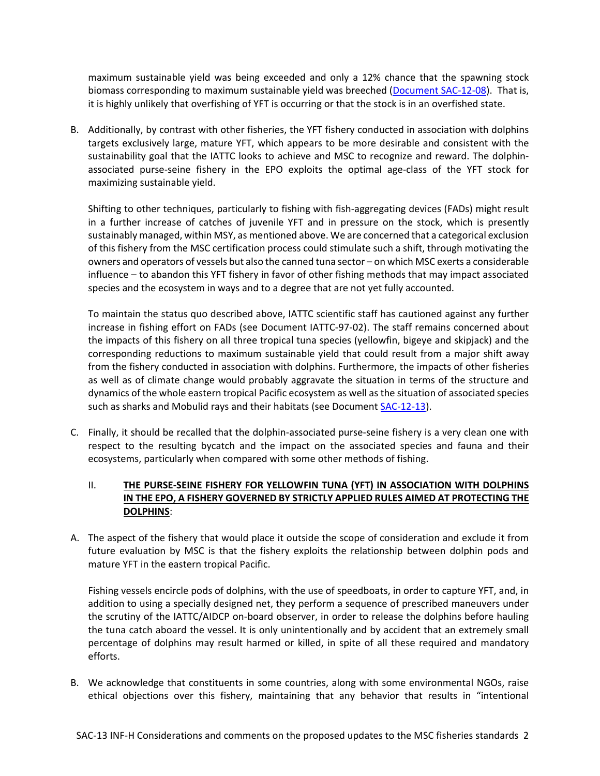maximum sustainable yield was being exceeded and only a 12% chance that the spawning stock biomass corresponding to maximum sustainable yield was breeched [\(Document SAC-12-08\)](https://www.iattc.org/Meetings/Meetings2020/SAC-11/Docs/_English/SAC-11-08-REV-23-Oct-2020-MTG_Risk%20analysis%20for%20management.pdf). That is, it is highly unlikely that overfishing of YFT is occurring or that the stock is in an overfished state.

B. Additionally, by contrast with other fisheries, the YFT fishery conducted in association with dolphins targets exclusively large, mature YFT, which appears to be more desirable and consistent with the sustainability goal that the IATTC looks to achieve and MSC to recognize and reward. The dolphinassociated purse-seine fishery in the EPO exploits the optimal age-class of the YFT stock for maximizing sustainable yield.

Shifting to other techniques, particularly to fishing with fish-aggregating devices (FADs) might result in a further increase of catches of juvenile YFT and in pressure on the stock, which is presently sustainably managed, within MSY, as mentioned above. We are concerned that a categorical exclusion of this fishery from the MSC certification process could stimulate such a shift, through motivating the owners and operators of vessels but also the canned tuna sector – on which MSC exerts a considerable influence – to abandon this YFT fishery in favor of other fishing methods that may impact associated species and the ecosystem in ways and to a degree that are not yet fully accounted.

To maintain the status quo described above, IATTC scientific staff has cautioned against any further increase in fishing effort on FADs (see Document IATTC-97-02). The staff remains concerned about the impacts of this fishery on all three tropical tuna species (yellowfin, bigeye and skipjack) and the corresponding reductions to maximum sustainable yield that could result from a major shift away from the fishery conducted in association with dolphins. Furthermore, the impacts of other fisheries as well as of climate change would probably aggravate the situation in terms of the structure and dynamics of the whole eastern tropical Pacific ecosystem as well as the situation of associated species such as sharks and Mobulid rays and their habitats (see Document [SAC-12-13\)](https://www.iattc.org/Meetings/Meetings2021/SAC-12/Docs/_English/SAC-12-13_Ecosystem%20model%20of%20the%20EPO%20progress%20report.pdf).

C. Finally, it should be recalled that the dolphin-associated purse-seine fishery is a very clean one with respect to the resulting bycatch and the impact on the associated species and fauna and their ecosystems, particularly when compared with some other methods of fishing.

### **II. THE PURSE-SEINE FISHERY FOR YELLOWFIN TUNA (YFT) IN ASSOCIATION WITH DOLPHINS IN THE EPO, A FISHERY GOVERNED BY STRICTLY APPLIED RULES AIMED AT PROTECTING THE DOLPHINS**:

A. The aspect of the fishery that would place it outside the scope of consideration and exclude it from future evaluation by MSC is that the fishery exploits the relationship between dolphin pods and mature YFT in the eastern tropical Pacific.

Fishing vessels encircle pods of dolphins, with the use of speedboats, in order to capture YFT, and, in addition to using a specially designed net, they perform a sequence of prescribed maneuvers under the scrutiny of the IATTC/AIDCP on-board observer, in order to release the dolphins before hauling the tuna catch aboard the vessel. It is only unintentionally and by accident that an extremely small percentage of dolphins may result harmed or killed, in spite of all these required and mandatory efforts.

B. We acknowledge that constituents in some countries, along with some environmental NGOs, raise ethical objections over this fishery, maintaining that any behavior that results in "intentional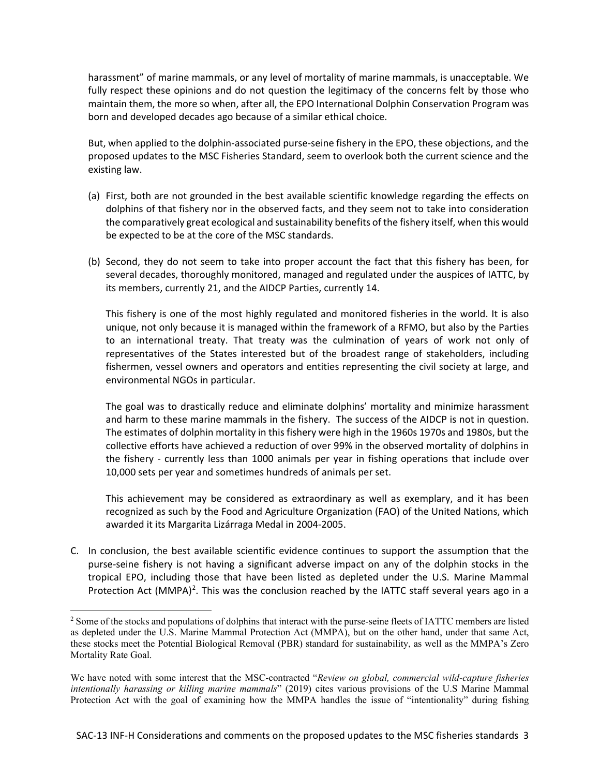harassment" of marine mammals, or any level of mortality of marine mammals, is unacceptable. We fully respect these opinions and do not question the legitimacy of the concerns felt by those who maintain them, the more so when, after all, the EPO International Dolphin Conservation Program was born and developed decades ago because of a similar ethical choice.

But, when applied to the dolphin-associated purse-seine fishery in the EPO, these objections, and the proposed updates to the MSC Fisheries Standard, seem to overlook both the current science and the existing law.

- (a) First, both are not grounded in the best available scientific knowledge regarding the effects on dolphins of that fishery nor in the observed facts, and they seem not to take into consideration the comparatively great ecological and sustainability benefits of the fishery itself, when this would be expected to be at the core of the MSC standards.
- (b) Second, they do not seem to take into proper account the fact that this fishery has been, for several decades, thoroughly monitored, managed and regulated under the auspices of IATTC, by its members, currently 21, and the AIDCP Parties, currently 14.

This fishery is one of the most highly regulated and monitored fisheries in the world. It is also unique, not only because it is managed within the framework of a RFMO, but also by the Parties to an international treaty. That treaty was the culmination of years of work not only of representatives of the States interested but of the broadest range of stakeholders, including fishermen, vessel owners and operators and entities representing the civil society at large, and environmental NGOs in particular.

The goal was to drastically reduce and eliminate dolphins' mortality and minimize harassment and harm to these marine mammals in the fishery. The success of the AIDCP is not in question. The estimates of dolphin mortality in this fishery were high in the 1960s 1970s and 1980s, but the collective efforts have achieved a reduction of over 99% in the observed mortality of dolphins in the fishery - currently less than 1000 animals per year in fishing operations that include over 10,000 sets per year and sometimes hundreds of animals per set.

This achievement may be considered as extraordinary as well as exemplary, and it has been recognized as such by the Food and Agriculture Organization (FAO) of the United Nations, which awarded it its Margarita Lizárraga Medal in 2004-2005.

C. In conclusion, the best available scientific evidence continues to support the assumption that the purse-seine fishery is not having a significant adverse impact on any of the dolphin stocks in the tropical EPO, including those that have been listed as depleted under the U.S. Marine Mammal Protection Act  $(MMPA)^2$  $(MMPA)^2$ . This was the conclusion reached by the IATTC staff several years ago in a

<span id="page-2-0"></span><sup>&</sup>lt;sup>2</sup> Some of the stocks and populations of dolphins that interact with the purse-seine fleets of IATTC members are listed as depleted under the U.S. Marine Mammal Protection Act (MMPA), but on the other hand, under that same Act, these stocks meet the Potential Biological Removal (PBR) standard for sustainability, as well as the MMPA's Zero Mortality Rate Goal.

We have noted with some interest that the MSC-contracted "*Review on global, commercial wild-capture fisheries intentionally harassing or killing marine mammals*" (2019) cites various provisions of the U.S Marine Mammal Protection Act with the goal of examining how the MMPA handles the issue of "intentionality" during fishing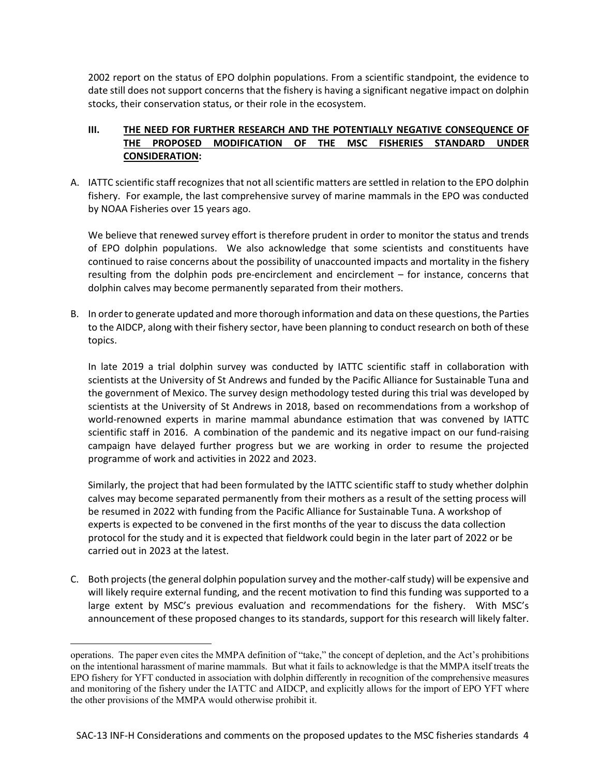2002 report on the status of EPO dolphin populations. From a scientific standpoint, the evidence to date still does not support concerns that the fishery is having a significant negative impact on dolphin stocks, their conservation status, or their role in the ecosystem.

### **III. THE NEED FOR FURTHER RESEARCH AND THE POTENTIALLY NEGATIVE CONSEQUENCE OF THE PROPOSED MODIFICATION OF THE MSC FISHERIES STANDARD UNDER CONSIDERATION:**

A. IATTC scientific staff recognizes that not all scientific matters are settled in relation to the EPO dolphin fishery. For example, the last comprehensive survey of marine mammals in the EPO was conducted by NOAA Fisheries over 15 years ago.

We believe that renewed survey effort is therefore prudent in order to monitor the status and trends of EPO dolphin populations. We also acknowledge that some scientists and constituents have continued to raise concerns about the possibility of unaccounted impacts and mortality in the fishery resulting from the dolphin pods pre-encirclement and encirclement – for instance, concerns that dolphin calves may become permanently separated from their mothers.

B. In order to generate updated and more thorough information and data on these questions, the Parties to the AIDCP, along with their fishery sector, have been planning to conduct research on both of these topics.

In late 2019 a trial dolphin survey was conducted by IATTC scientific staff in collaboration with scientists at the University of St Andrews and funded by the Pacific Alliance for Sustainable Tuna and the government of Mexico. The survey design methodology tested during this trial was developed by scientists at the University of St Andrews in 2018, based on recommendations from a workshop of world-renowned experts in marine mammal abundance estimation that was convened by IATTC scientific staff in 2016. A combination of the pandemic and its negative impact on our fund-raising campaign have delayed further progress but we are working in order to resume the projected programme of work and activities in 2022 and 2023.

Similarly, the project that had been formulated by the IATTC scientific staff to study whether dolphin calves may become separated permanently from their mothers as a result of the setting process will be resumed in 2022 with funding from the Pacific Alliance for Sustainable Tuna. A workshop of experts is expected to be convened in the first months of the year to discuss the data collection protocol for the study and it is expected that fieldwork could begin in the later part of 2022 or be carried out in 2023 at the latest.

C. Both projects (the general dolphin population survey and the mother-calf study) will be expensive and will likely require external funding, and the recent motivation to find this funding was supported to a large extent by MSC's previous evaluation and recommendations for the fishery. With MSC's announcement of these proposed changes to its standards, support for this research will likely falter.

operations. The paper even cites the MMPA definition of "take," the concept of depletion, and the Act's prohibitions on the intentional harassment of marine mammals. But what it fails to acknowledge is that the MMPA itself treats the EPO fishery for YFT conducted in association with dolphin differently in recognition of the comprehensive measures and monitoring of the fishery under the IATTC and AIDCP, and explicitly allows for the import of EPO YFT where the other provisions of the MMPA would otherwise prohibit it.